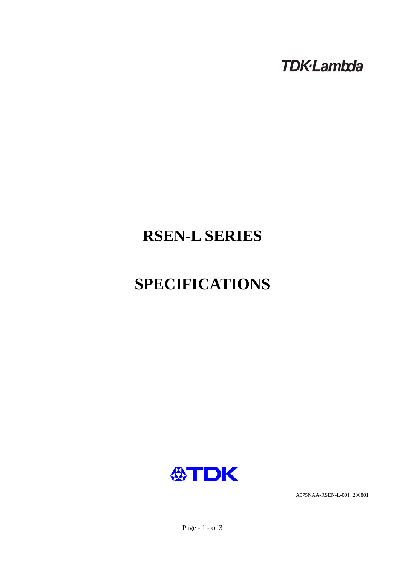**TDK-Lambda** 

# **RSEN-L SERIES**

# **SPECIFICATIONS**



A575NAA-RSEN-L-001 200801

Page - 1 - of 3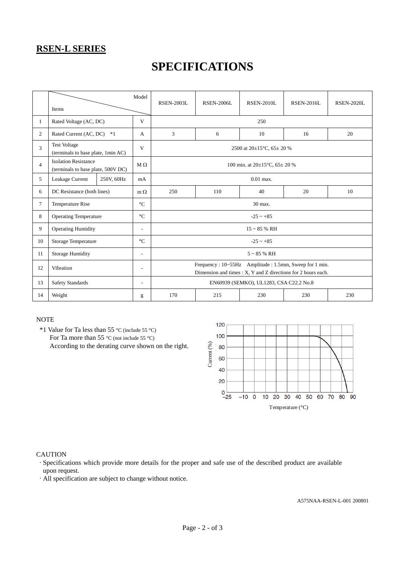### **RSEN-L SERIES**

## **SPECIFICATIONS**

|                | Items                                                             |            | Model                    | <b>RSEN-2003L</b>                                                                                                      | <b>RSEN-2006L</b> | <b>RSEN-2010L</b> | <b>RSEN-2016L</b> | <b>RSEN-2020L</b> |  |  |
|----------------|-------------------------------------------------------------------|------------|--------------------------|------------------------------------------------------------------------------------------------------------------------|-------------------|-------------------|-------------------|-------------------|--|--|
| $\mathbf{1}$   | Rated Voltage (AC, DC)                                            |            | V                        | 250                                                                                                                    |                   |                   |                   |                   |  |  |
| 2              | Rated Current (AC, DC)<br>$*1$                                    |            | A                        | 3                                                                                                                      | 6                 | 10                | 16                | 20                |  |  |
| 3              | <b>Test Voltage</b><br>(terminals to base plate, 1min AC)         |            | V                        | 2500 at $20\pm15^{\circ}$ C, 65 $\pm$ 20 %                                                                             |                   |                   |                   |                   |  |  |
| $\overline{4}$ | <b>Isolation Resistance</b><br>(terminals to base plate, 500V DC) |            | $M \Omega$               | 100 min. at $20\pm15^{\circ}$ C, $65\pm20\%$                                                                           |                   |                   |                   |                   |  |  |
| 5              | Leakage Current                                                   | 250V, 60Hz | mA                       | $0.01$ max.                                                                                                            |                   |                   |                   |                   |  |  |
| 6              | DC Resistance (both lines)                                        |            | $m \Omega$               | 250                                                                                                                    | 110               | 40                | 20                | 10                |  |  |
| $\tau$         | <b>Temperature Rise</b>                                           |            | $\rm ^{\circ}C$          | 30 max.                                                                                                                |                   |                   |                   |                   |  |  |
| 8              | <b>Operating Temperature</b>                                      |            | $\rm ^{\circ}C$          | $-25 - +85$                                                                                                            |                   |                   |                   |                   |  |  |
| 9              | <b>Operating Humidity</b>                                         |            | ÷,                       | $15 \sim 85$ % RH                                                                                                      |                   |                   |                   |                   |  |  |
| 10             | Storage Temperature                                               |            | $\rm ^{\circ}C$          | $-25 - +85$                                                                                                            |                   |                   |                   |                   |  |  |
| 11             | <b>Storage Humidity</b>                                           |            | $\overline{\phantom{a}}$ | $5 \sim 85$ % RH                                                                                                       |                   |                   |                   |                   |  |  |
| 12             | Vibration                                                         |            | $\overline{\phantom{a}}$ | Frequency: 10~55Hz Amplitude: 1.5mm, Sweep for 1 min.<br>Dimension and times : X, Y and Z directions for 2 hours each. |                   |                   |                   |                   |  |  |
| 13             | <b>Safety Standards</b><br>$\overline{\phantom{a}}$               |            |                          | EN60939 (SEMKO), UL1283, CSA C22.2 No.8                                                                                |                   |                   |                   |                   |  |  |
| 14             | Weight                                                            |            | g                        | 170                                                                                                                    | 215               | 230               | 230               | 230               |  |  |

#### **NOTE**

 \*1 Value for Ta less than 55 °C (include 55 °C) For Ta more than 55 °C (not include 55 °C) According to the derating curve shown on the right.



#### **CAUTION**

·Specifications which provide more details for the proper and safe use of the described product are available upon request.

·All specification are subject to change without notice.

A575NAA-RSEN-L-001 200801